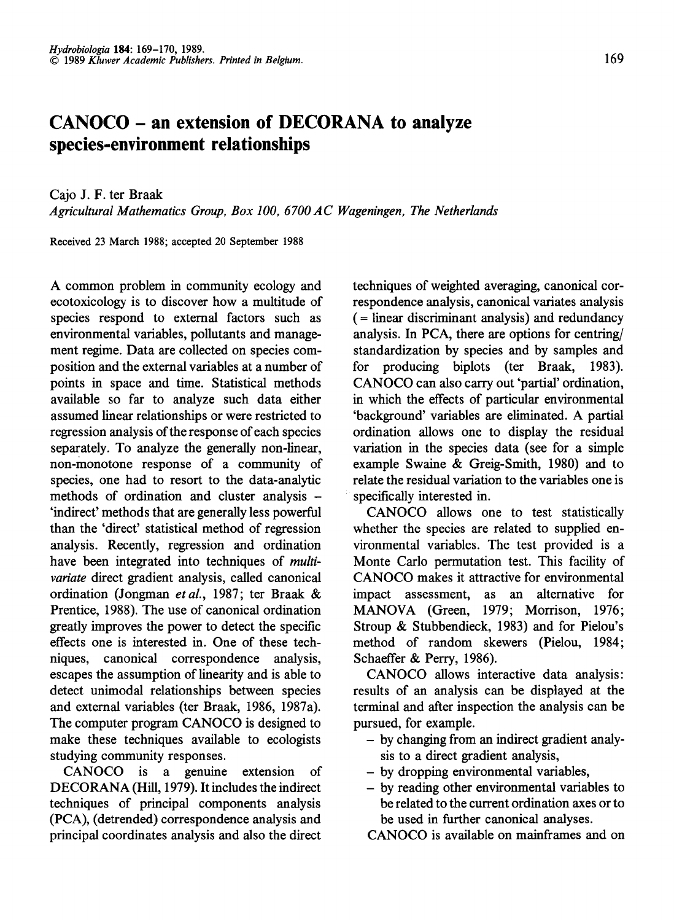## **CANOCO - an extension of DECORANA to analyze species-environment relationships**

Cajo J. F. ter Braak

*Agricultural Mathematics Group, Box 100, 6700 AC Wageningen, The Netherlands* 

Received 23 March 1988; accepted 20 September 1988

A common problem in community ecology and ecotoxicology is to discover how a multitude of species respond to external factors such as environmental variables, pollutants and management regime. Data are collected on species composition and the external variables at a number of points in space and time. Statistical methods available so far to analyze such data either assumed linear relationships or were restricted to regression analysis of the response of each species separately. To analyze the generally non-linear, non-monotone response of a community of species, one had to resort to the data-analytic methods of ordination and cluster analysis - 'indirect' methods that are generally less powerful than the 'direct' statistical method of regression analysis. Recently, regression and ordination have been integrated into techniques of *multivariate* direct gradient analysis, called canonical ordination (Jongman *et al.*, 1987; ter Braak & Prentice, 1988). The use of canonical ordination greatly improves the power to detect the specific effects one is interested in. One of these techniques, canonical correspondence analysis, escapes the assumption of linearity and is able to detect unimodal relationships between species and external variables (ter Braak, 1986, 1987a). The computer program CANOCO is designed to make these techniques available to ecologists studying community responses.

CANOCO is a genuine extension of DECORANA (Hill, 1979). It includes the indirect techniques of principal components analysis (PCA), (detrended) correspondence analysis and principal coordinates analysis and also the direct

techniques of weighted averaging, canonical correspondence analysis, canonical variates analysis ( = linear discriminant analysis) and redundancy analysis. In PCA, there are options for centring/ standardization by species and by samples and for producing biplots (ter Braak, 1983). CANOCO can also carry out 'partial' ordination, in which the effects of particular environmental 'background' variables are eliminated. A partial ordination allows one to display the residual variation in the species data (see for a simple example Swaine & Greig-Smith, 1980) and to relate the residual variation to the variables one is specifically interested in.

CANOCO allows one to test statistically whether the species are related to supplied environmental variables. The test provided is a Monte Carlo permutation test. This facility of CANOCO makes it attractive for environmental impact assessment, as an alternative for MANOVA (Green, 1979; Morrison, 1976; Stroup & Stubbendieck, 1983) and for Pielou's method of random skewers (Pielou, 1984; Schaeffer & Perry, 1986).

CANOCO allows interactive data analysis: results of an analysis can be displayed at the terminal and after inspection the analysis can be pursued, for example.

- by changing from an indirect gradient analysis to a direct gradient analysis,
- by dropping environmental variables,
- by reading other environmental variables to be related to the current ordination axes or to be used in further canonical analyses.

CANOCO is available on mainframes and on